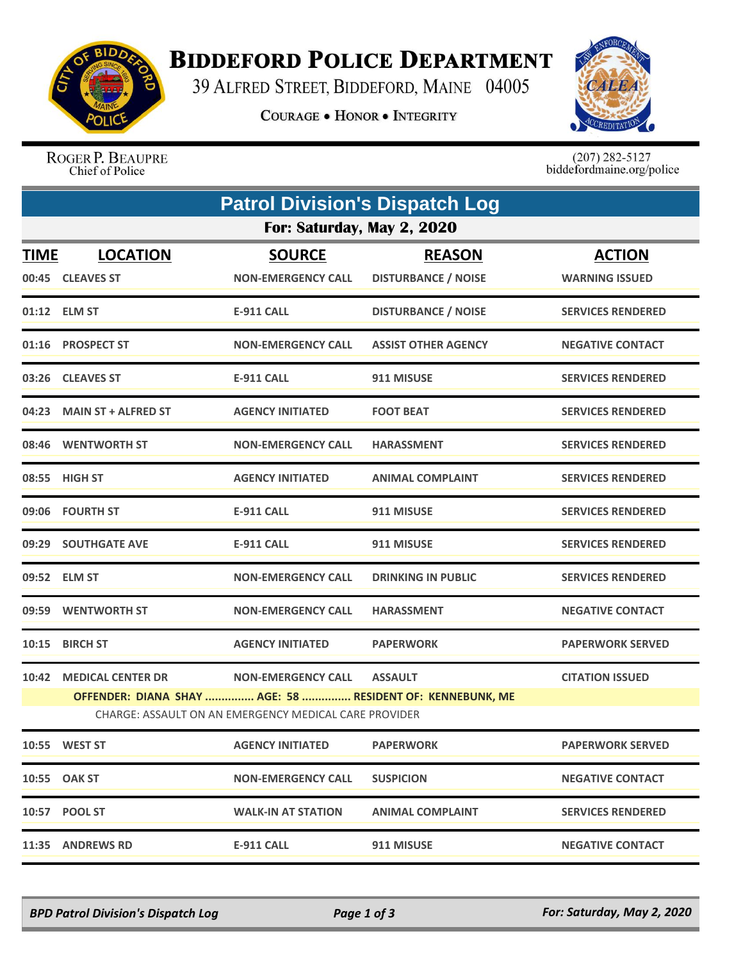

## **BIDDEFORD POLICE DEPARTMENT**

39 ALFRED STREET, BIDDEFORD, MAINE 04005

**COURAGE . HONOR . INTEGRITY** 



ROGER P. BEAUPRE Chief of Police

 $(207)$  282-5127<br>biddefordmaine.org/police

|                            | <b>Patrol Division's Dispatch Log</b>                                                                                                                                                                                  |                                            |                                             |                                        |  |  |  |  |
|----------------------------|------------------------------------------------------------------------------------------------------------------------------------------------------------------------------------------------------------------------|--------------------------------------------|---------------------------------------------|----------------------------------------|--|--|--|--|
| For: Saturday, May 2, 2020 |                                                                                                                                                                                                                        |                                            |                                             |                                        |  |  |  |  |
| <b>TIME</b>                | <b>LOCATION</b><br>00:45 CLEAVES ST                                                                                                                                                                                    | <b>SOURCE</b><br><b>NON-EMERGENCY CALL</b> | <b>REASON</b><br><b>DISTURBANCE / NOISE</b> | <b>ACTION</b><br><b>WARNING ISSUED</b> |  |  |  |  |
|                            | 01:12 ELM ST                                                                                                                                                                                                           | E-911 CALL                                 | <b>DISTURBANCE / NOISE</b>                  | <b>SERVICES RENDERED</b>               |  |  |  |  |
|                            | 01:16 PROSPECT ST                                                                                                                                                                                                      | <b>NON-EMERGENCY CALL</b>                  | <b>ASSIST OTHER AGENCY</b>                  | <b>NEGATIVE CONTACT</b>                |  |  |  |  |
|                            | 03:26 CLEAVES ST                                                                                                                                                                                                       | <b>E-911 CALL</b>                          | 911 MISUSE                                  | <b>SERVICES RENDERED</b>               |  |  |  |  |
| 04:23                      | <b>MAIN ST + ALFRED ST</b>                                                                                                                                                                                             | <b>AGENCY INITIATED</b>                    | <b>FOOT BEAT</b>                            | <b>SERVICES RENDERED</b>               |  |  |  |  |
|                            | 08:46 WENTWORTH ST                                                                                                                                                                                                     | <b>NON-EMERGENCY CALL</b>                  | <b>HARASSMENT</b>                           | <b>SERVICES RENDERED</b>               |  |  |  |  |
|                            | 08:55 HIGH ST                                                                                                                                                                                                          | <b>AGENCY INITIATED</b>                    | <b>ANIMAL COMPLAINT</b>                     | <b>SERVICES RENDERED</b>               |  |  |  |  |
|                            | 09:06 FOURTH ST                                                                                                                                                                                                        | <b>E-911 CALL</b>                          | 911 MISUSE                                  | <b>SERVICES RENDERED</b>               |  |  |  |  |
|                            | 09:29 SOUTHGATE AVE                                                                                                                                                                                                    | <b>E-911 CALL</b>                          | 911 MISUSE                                  | <b>SERVICES RENDERED</b>               |  |  |  |  |
|                            | 09:52 ELM ST                                                                                                                                                                                                           | <b>NON-EMERGENCY CALL</b>                  | <b>DRINKING IN PUBLIC</b>                   | <b>SERVICES RENDERED</b>               |  |  |  |  |
|                            | 09:59 WENTWORTH ST                                                                                                                                                                                                     | <b>NON-EMERGENCY CALL</b>                  | <b>HARASSMENT</b>                           | <b>NEGATIVE CONTACT</b>                |  |  |  |  |
| 10:15                      | <b>BIRCH ST</b>                                                                                                                                                                                                        | <b>AGENCY INITIATED</b>                    | <b>PAPERWORK</b>                            | <b>PAPERWORK SERVED</b>                |  |  |  |  |
|                            | 10:42 MEDICAL CENTER DR<br><b>NON-EMERGENCY CALL</b><br><b>ASSAULT</b><br><b>CITATION ISSUED</b><br>OFFENDER: DIANA SHAY  AGE: 58  RESIDENT OF: KENNEBUNK, ME<br>CHARGE: ASSAULT ON AN EMERGENCY MEDICAL CARE PROVIDER |                                            |                                             |                                        |  |  |  |  |
|                            | 10:55 WEST ST                                                                                                                                                                                                          | <b>AGENCY INITIATED</b>                    | <b>PAPERWORK</b>                            | <b>PAPERWORK SERVED</b>                |  |  |  |  |
|                            | 10:55 OAK ST                                                                                                                                                                                                           | <b>NON-EMERGENCY CALL</b>                  | <b>SUSPICION</b>                            | <b>NEGATIVE CONTACT</b>                |  |  |  |  |
|                            | 10:57 POOL ST                                                                                                                                                                                                          | <b>WALK-IN AT STATION</b>                  | <b>ANIMAL COMPLAINT</b>                     | <b>SERVICES RENDERED</b>               |  |  |  |  |
|                            | 11:35 ANDREWS RD                                                                                                                                                                                                       | <b>E-911 CALL</b>                          | 911 MISUSE                                  | <b>NEGATIVE CONTACT</b>                |  |  |  |  |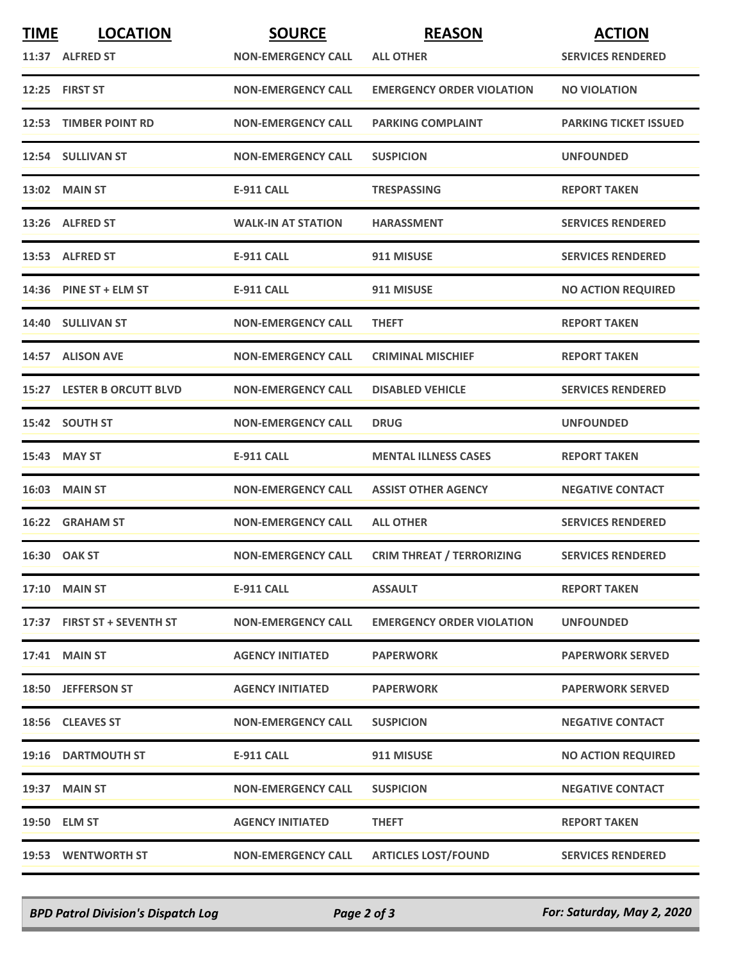| <b>TIME</b> | <b>LOCATION</b><br>11:37 ALFRED ST | <b>SOURCE</b><br><b>NON-EMERGENCY CALL</b> | <b>REASON</b><br><b>ALL OTHER</b> | <b>ACTION</b><br><b>SERVICES RENDERED</b> |
|-------------|------------------------------------|--------------------------------------------|-----------------------------------|-------------------------------------------|
|             | 12:25 FIRST ST                     | <b>NON-EMERGENCY CALL</b>                  | <b>EMERGENCY ORDER VIOLATION</b>  | <b>NO VIOLATION</b>                       |
|             | 12:53 TIMBER POINT RD              | <b>NON-EMERGENCY CALL</b>                  | <b>PARKING COMPLAINT</b>          | <b>PARKING TICKET ISSUED</b>              |
|             | 12:54 SULLIVAN ST                  | <b>NON-EMERGENCY CALL</b>                  | <b>SUSPICION</b>                  | <b>UNFOUNDED</b>                          |
|             | 13:02 MAIN ST                      | <b>E-911 CALL</b>                          | <b>TRESPASSING</b>                | <b>REPORT TAKEN</b>                       |
|             | 13:26 ALFRED ST                    | <b>WALK-IN AT STATION</b>                  | <b>HARASSMENT</b>                 | <b>SERVICES RENDERED</b>                  |
|             | 13:53 ALFRED ST                    | <b>E-911 CALL</b>                          | 911 MISUSE                        | <b>SERVICES RENDERED</b>                  |
|             | 14:36 PINE ST + ELM ST             | <b>E-911 CALL</b>                          | 911 MISUSE                        | <b>NO ACTION REQUIRED</b>                 |
|             | 14:40 SULLIVAN ST                  | <b>NON-EMERGENCY CALL</b>                  | <b>THEFT</b>                      | <b>REPORT TAKEN</b>                       |
|             | 14:57 ALISON AVE                   | <b>NON-EMERGENCY CALL</b>                  | <b>CRIMINAL MISCHIEF</b>          | <b>REPORT TAKEN</b>                       |
|             | <b>15:27 LESTER B ORCUTT BLVD</b>  | <b>NON-EMERGENCY CALL</b>                  | <b>DISABLED VEHICLE</b>           | <b>SERVICES RENDERED</b>                  |
|             | 15:42 SOUTH ST                     | <b>NON-EMERGENCY CALL</b>                  | <b>DRUG</b>                       | <b>UNFOUNDED</b>                          |
|             | 15:43 MAY ST                       | <b>E-911 CALL</b>                          | <b>MENTAL ILLNESS CASES</b>       | <b>REPORT TAKEN</b>                       |
|             | <b>16:03 MAIN ST</b>               | <b>NON-EMERGENCY CALL</b>                  | <b>ASSIST OTHER AGENCY</b>        | <b>NEGATIVE CONTACT</b>                   |
|             | 16:22 GRAHAM ST                    | <b>NON-EMERGENCY CALL</b>                  | <b>ALL OTHER</b>                  | <b>SERVICES RENDERED</b>                  |
|             | 16:30 OAK ST                       | <b>NON-EMERGENCY CALL</b>                  | <b>CRIM THREAT / TERRORIZING</b>  | <b>SERVICES RENDERED</b>                  |
|             | <b>17:10 MAIN ST</b>               | <b>E-911 CALL</b>                          | <b>ASSAULT</b>                    | <b>REPORT TAKEN</b>                       |
|             | 17:37 FIRST ST + SEVENTH ST        | <b>NON-EMERGENCY CALL</b>                  | <b>EMERGENCY ORDER VIOLATION</b>  | <b>UNFOUNDED</b>                          |
|             | <b>17:41 MAIN ST</b>               | <b>AGENCY INITIATED</b>                    | <b>PAPERWORK</b>                  | <b>PAPERWORK SERVED</b>                   |
|             | 18:50 JEFFERSON ST                 | <b>AGENCY INITIATED</b>                    | <b>PAPERWORK</b>                  | <b>PAPERWORK SERVED</b>                   |
|             | 18:56 CLEAVES ST                   | <b>NON-EMERGENCY CALL</b>                  | <b>SUSPICION</b>                  | <b>NEGATIVE CONTACT</b>                   |
|             | 19:16 DARTMOUTH ST                 | <b>E-911 CALL</b>                          | 911 MISUSE                        | <b>NO ACTION REQUIRED</b>                 |
|             | 19:37 MAIN ST                      | <b>NON-EMERGENCY CALL</b>                  | <b>SUSPICION</b>                  | <b>NEGATIVE CONTACT</b>                   |
|             | 19:50 ELM ST                       | <b>AGENCY INITIATED</b>                    | <b>THEFT</b>                      | <b>REPORT TAKEN</b>                       |
|             | 19:53 WENTWORTH ST                 | <b>NON-EMERGENCY CALL</b>                  | <b>ARTICLES LOST/FOUND</b>        | <b>SERVICES RENDERED</b>                  |

*BPD Patrol Division's Dispatch Log Page 2 of 3 For: Saturday, May 2, 2020*